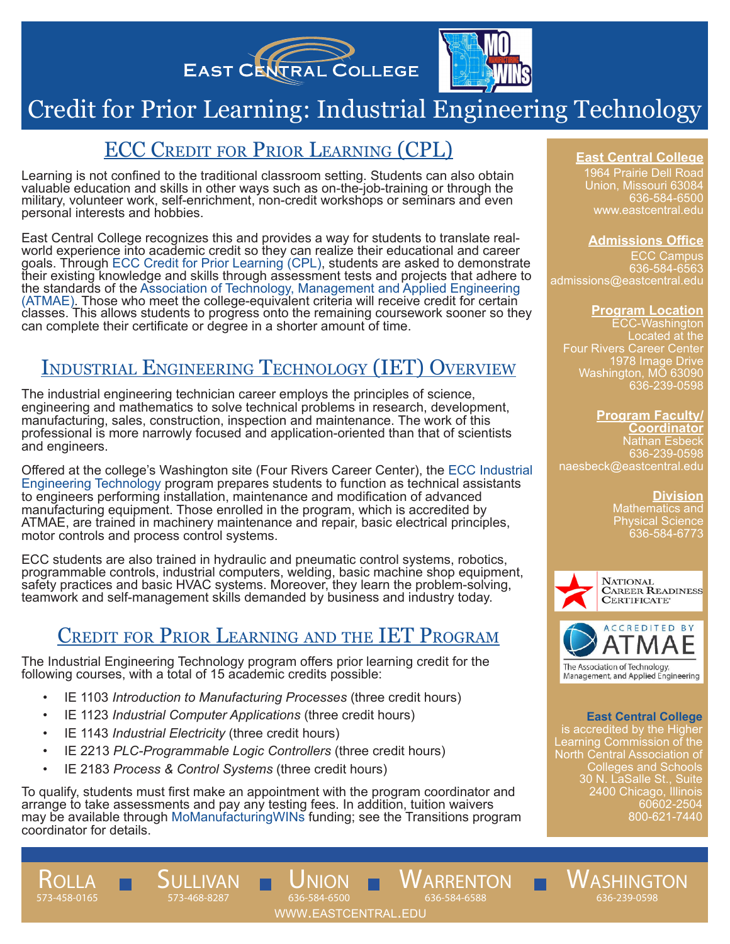



# Credit for Prior Learning: Industrial Engineering Technology

### ECC Credit for Prior Learning (CPL)

Learning is not confined to the traditional classroom setting. Students can also obtain valuable education and skills in other ways such as on-the-job-training or through the military, volunteer work, self-enrichment, non-credit workshops or seminars and even personal interests and hobbies.

East Central College recognizes this and provides a way for students to translate realworld experience into academic credit so they can realize their educational and career goals. Through ECC Credit for Prior Learning (CPL), students are asked to demonstrate their existing knowledge and skills through assessment tests and projects that adhere to the standards of the Association of Technology, Management and Applied Engineering (ATMAE). Those who meet the college-equivalent criteria will receive credit for certain classes. This allows students to progress onto the remaining coursework sooner so they can complete their certificate or degree in a shorter amount of time.

# Industrial Engineering Technology (IET) Overview

The industrial engineering technician career employs the principles of science, engineering and mathematics to solve technical problems in research, development, manufacturing, sales, construction, inspection and maintenance. The work of this professional is more narrowly focused and application-oriented than that of scientists and engineers.

Offered at the college's Washington site (Four Rivers Career Center), the ECC Industrial Engineering Technology program prepares students to function as technical assistants to engineers performing installation, maintenance and modification of advanced manufacturing equipment. Those enrolled in the program, which is accredited by ATMAE, are trained in machinery maintenance and repair, basic electrical principles, motor controls and process control systems.

ECC students are also trained in hydraulic and pneumatic control systems, robotics, programmable controls, industrial computers, welding, basic machine shop equipment, safety practices and basic HVAC systems. Moreover, they learn the problem-solving, teamwork and self-management skills demanded by business and industry today.

## Credit for Prior Learning and the IET Program

The Industrial Engineering Technology program offers prior learning credit for the following courses, with a total of 15 academic credits possible:

- IE 1103 *Introduction to Manufacturing Processes* (three credit hours)
- IE 1123 *Industrial Computer Applications* (three credit hours)
- IE 1143 *Industrial Electricity* (three credit hours)

Sullivan 573-468-8287

Rolla 573-458-0165

- IE 2213 *PLC-Programmable Logic Controllers* (three credit hours)
- IE 2183 *Process & Control Systems* (three credit hours)

To qualify, students must first make an appointment with the program coordinator and arrange to take assessments and pay any testing fees. In addition, tuition waivers may be available through MoManufacturingWINs funding; see the Transitions program coordinator for details.

www.eastcentral.edu

**ARRENTON** 

636-584-6588

NION 636-584-6500

#### **East Central College**

1964 Prairie Dell Road Union, Missouri 63084 636-584-6500 www.eastcentral.edu

#### **Admissions Office**

ECC Campus 636-584-6563 admissions@eastcentral.edu

#### **Program Location**

ECC-Washington Located at the Four Rivers Career Center 1978 Image Drive Washington, MO 63090 636-239-0598

#### **Program Faculty/ Coordinator**

Nathan Esbeck 636-239-0598 naesbeck@eastcentral.edu

**Division** 

Mathematics and Physical Science 636-584-6773





#### **East Central College**

is accredited by the Higher Learning Commission of the North Central Association of Colleges and Schools 30 N. LaSalle St., Suite 2400 Chicago, Illinois 60602-2504 800-621-7440

**NASHINGTON** 636-239-0598